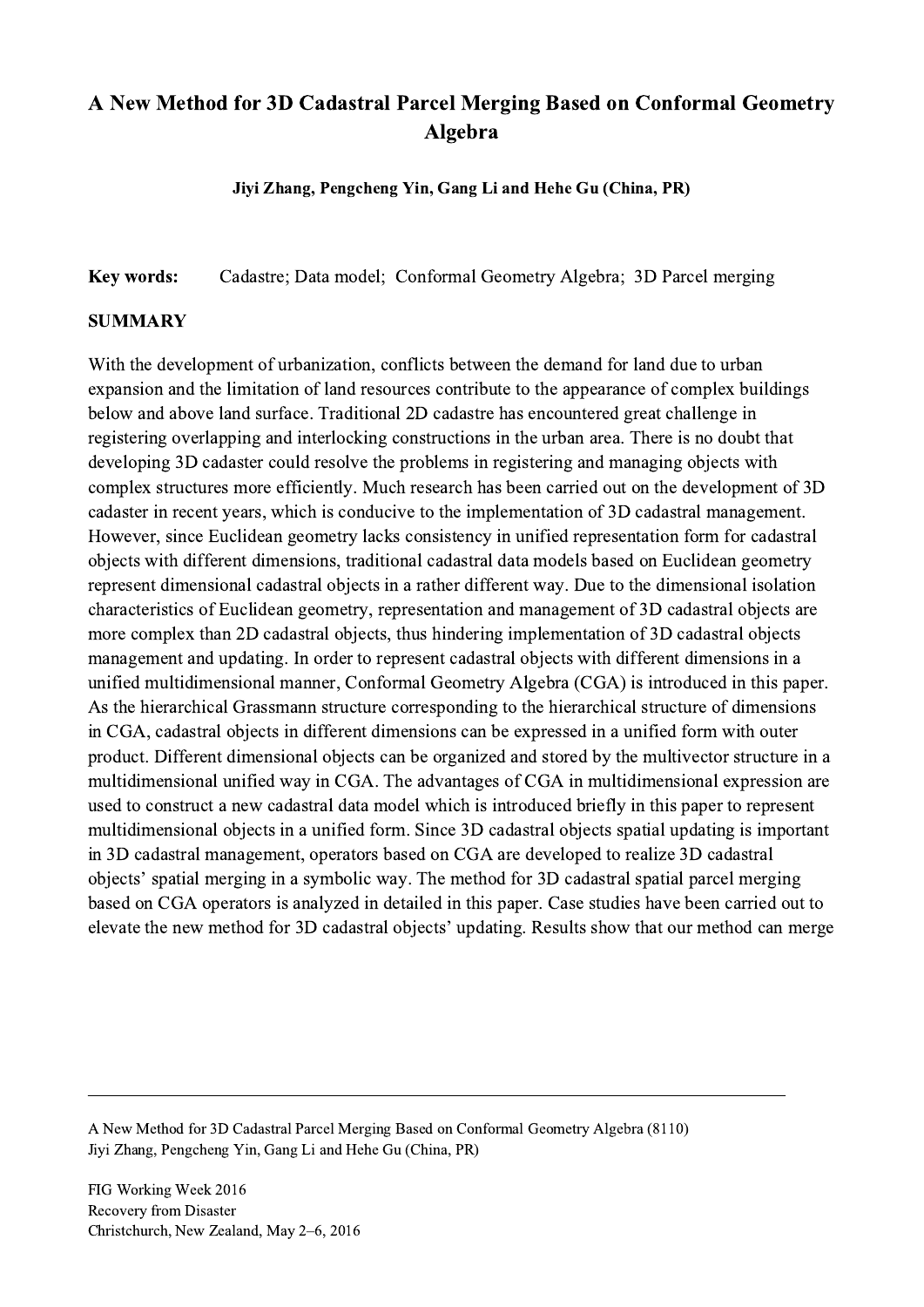## A New Method for 3D Cadastral Parcel Merging Based on Conformal Geometry Algebra

Jiyi Zhang, Pengcheng Yin, Gang Li and Hehe Gu (China, PR)

Key words: Cadastre; Data model; Conformal Geometry Algebra; 3D Parcel merging

## SUMMARY

With the development of urbanization, conflicts between the demand for land due to urban expansion and the limitation of land resources contribute to the appearance of complex buildings below and above land surface. Traditional 2D cadastre has encountered great challenge in registering overlapping and interlocking constructions in the urban area. There is no doubt that developing 3D cadaster could resolve the problems in registering and managing objects with complex structures more efficiently. Much research has been carried out on the development of 3D cadaster in recent years, which is conducive to the implementation of 3D cadastral management. However, since Euclidean geometry lacks consistency in unified representation form for cadastral objects with different dimensions, traditional cadastral data models based on Euclidean geometry represent dimensional cadastral objects in a rather different way. Due to the dimensional isolation characteristics of Euclidean geometry, representation and management of 3D cadastral objects are more complex than 2D cadastral objects, thus hindering implementation of 3D cadastral objects management and updating. In order to represent cadastral objects with different dimensions in a unified multidimensional manner, Conformal Geometry Algebra (CGA) is introduced in this paper. As the hierarchical Grassmann structure corresponding to the hierarchical structure of dimensions in CGA, cadastral objects in different dimensions can be expressed in a unified form with outer product. Different dimensional objects can be organized and stored by the multivector structure in a multidimensional unified way in CGA. The advantages of CGA in multidimensional expression are used to construct a new cadastral data model which is introduced briefly in this paper to represent multidimensional objects in a unified form. Since 3D cadastral objects spatial updating is important in 3D cadastral management, operators based on CGA are developed to realize 3D cadastral objects' spatial merging in a symbolic way. The method for 3D cadastral spatial parcel merging based on CGA operators is analyzed in detailed in this paper. Case studies have been carried out to elevate the new method for 3D cadastral objects' updating. Results show that our method can merge

 $\mathcal{L}_\mathcal{L} = \{ \mathcal{L}_\mathcal{L} = \{ \mathcal{L}_\mathcal{L} = \{ \mathcal{L}_\mathcal{L} = \{ \mathcal{L}_\mathcal{L} = \{ \mathcal{L}_\mathcal{L} = \{ \mathcal{L}_\mathcal{L} = \{ \mathcal{L}_\mathcal{L} = \{ \mathcal{L}_\mathcal{L} = \{ \mathcal{L}_\mathcal{L} = \{ \mathcal{L}_\mathcal{L} = \{ \mathcal{L}_\mathcal{L} = \{ \mathcal{L}_\mathcal{L} = \{ \mathcal{L}_\mathcal{L} = \{ \mathcal{L}_\mathcal{$ 

A New Method for 3D Cadastral Parcel Merging Based on Conformal Geometry Algebra (8110) Jiyi Zhang, Pengcheng Yin, Gang Li and Hehe Gu (China, PR)